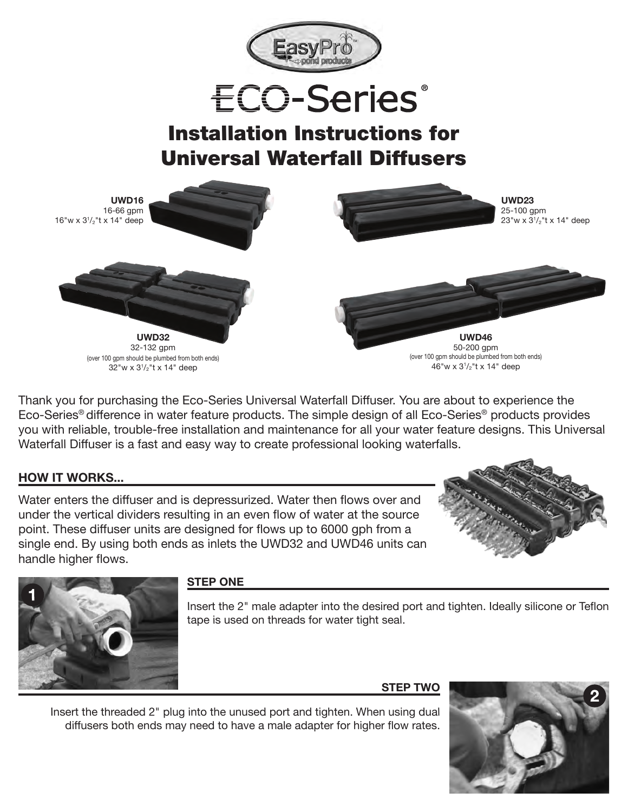



# Installation Instructions for Universal Waterfall Diffusers



Thank you for purchasing the Eco-Series Universal Waterfall Diffuser. You are about to experience the Eco-Series® difference in water feature products. The simple design of all Eco-Series® products provides you with reliable, trouble-free installation and maintenance for all your water feature designs. This Universal Waterfall Diffuser is a fast and easy way to create professional looking waterfalls.

## **HOW IT WORKS...**

Water enters the diffuser and is depressurized. Water then flows over and under the vertical dividers resulting in an even flow of water at the source point. These diffuser units are designed for flows up to 6000 gph from a single end. By using both ends as inlets the UWD32 and UWD46 units can handle higher flows.





### **STEP ONE**

Insert the 2" male adapter into the desired port and tighten. Ideally silicone or Teflon tape is used on threads for water tight seal.

#### **STEP TWO**



Insert the threaded 2" plug into the unused port and tighten. When using dual diffusers both ends may need to have a male adapter for higher flow rates.